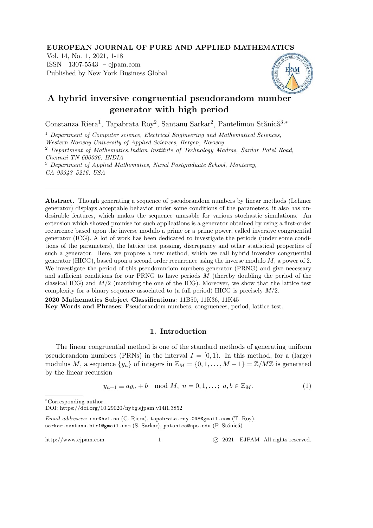#### EUROPEAN JOURNAL OF PURE AND APPLIED MATHEMATICS

Vol. 14, No. 1, 2021, 1-18 ISSN 1307-5543 – ejpam.com Published by New York Business Global



# A hybrid inversive congruential pseudorandom number generator with high period

Constanza Riera<sup>1</sup>, Tapabrata Roy<sup>2</sup>, Santanu Sarkar<sup>2</sup>, Pantelimon Stănică<sup>3,\*</sup>

<sup>1</sup> *Department of Computer science, Electrical Engineering and Mathematical Sciences,*

*Western Norway University of Applied Sciences, Bergen, Norway*

<sup>2</sup> *Department of Mathematics,Indian Institute of Technology Madras, Sardar Patel Road, Chennai TN 600036, INDIA*

<sup>3</sup> *Department of Applied Mathematics, Naval Postgraduate School, Monterey, CA 93943–5216, USA*

Abstract. Though generating a sequence of pseudorandom numbers by linear methods (Lehmer generator) displays acceptable behavior under some conditions of the parameters, it also has undesirable features, which makes the sequence unusable for various stochastic simulations. An extension which showed promise for such applications is a generator obtained by using a first-order recurrence based upon the inverse modulo a prime or a prime power, called inversive congruential generator (ICG). A lot of work has been dedicated to investigate the periods (under some conditions of the parameters), the lattice test passing, discrepancy and other statistical properties of such a generator. Here, we propose a new method, which we call hybrid inversive congruential generator (HICG), based upon a second order recurrence using the inverse modulo  $M$ , a power of 2. We investigate the period of this pseudorandom numbers generator (PRNG) and give necessary and sufficient conditions for our PRNG to have periods M (thereby doubling the period of the classical ICG) and  $M/2$  (matching the one of the ICG). Moreover, we show that the lattice test complexity for a binary sequence associated to (a full period) HICG is precisely  $M/2$ .

2020 Mathematics Subject Classifications: 11B50, 11K36, 11K45 Key Words and Phrases: Pseudorandom numbers, congruences, period, lattice test.

### 1. Introduction

The linear congruential method is one of the standard methods of generating uniform pseudorandom numbers (PRNs) in the interval  $I = [0, 1)$ . In this method, for a (large) modulus M, a sequence  $\{y_n\}$  of integers in  $\mathbb{Z}_M = \{0, 1, \ldots, M-1\} = \mathbb{Z}/M\mathbb{Z}$  is generated by the linear recursion

$$
y_{n+1} \equiv ay_n + b \mod M, \ n = 0, 1, \dots; \ a, b \in \mathbb{Z}_M. \tag{1}
$$

http://www.ejpam.com 1 
c 2021 EJPAM All rights reserved.

<sup>∗</sup>Corresponding author.

DOI: https://doi.org/10.29020/nybg.ejpam.v14i1.3852

Email addresses: csr@hvl.no (C. Riera), tapabrata.roy.048@gmail.com (T. Roy), sarkar.santanu.bir1@gmail.com (S. Sarkar), pstanica@nps.edu (P. Stănică)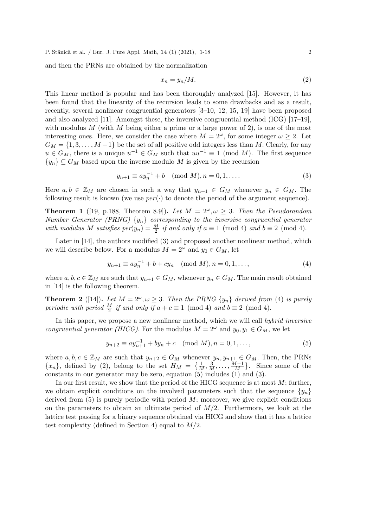and then the PRNs are obtained by the normalization

$$
x_n = y_n/M. \tag{2}
$$

This linear method is popular and has been thoroughly analyzed [15]. However, it has been found that the linearity of the recursion leads to some drawbacks and as a result, recently, several nonlinear congruential generators [3–10, 12, 15, 19] have been proposed and also analyzed [11]. Amongst these, the inversive congruential method (ICG) [17–19], with modulus M (with M being either a prime or a large power of 2), is one of the most interesting ones. Here, we consider the case where  $M = 2^{\omega}$ , for some integer  $\omega \geq 2$ . Let  $G_M = \{1, 3, \ldots, M-1\}$  be the set of all positive odd integers less than M. Clearly, for any  $u \in G_M$ , there is a unique  $u^{-1} \in G_M$  such that  $uu^{-1} \equiv 1 \pmod{M}$ . The first sequence  $\{y_n\} \subseteq G_M$  based upon the inverse modulo M is given by the recursion

$$
y_{n+1} \equiv ay_n^{-1} + b \pmod{M}, n = 0, 1, \dots
$$
 (3)

Here  $a, b \in \mathbb{Z}_M$  are chosen in such a way that  $y_{n+1} \in G_M$  whenever  $y_n \in G_M$ . The following result is known (we use  $per(\cdot)$  to denote the period of the argument sequence).

**Theorem 1** ([19, p.188, Theorem 8.9]). Let  $M = 2^{\omega}, \omega \geq 3$ . Then the Pseudorandom *Number Generator (PRNG)* {yn} *corresponding to the inversive congruential generator with modulus* M *satisfies per*( $y_n$ ) =  $\frac{M}{2}$  *if and only if*  $a \equiv 1 \pmod{4}$  *and*  $b \equiv 2 \pmod{4}$ .

Later in [14], the authors modified (3) and proposed another nonlinear method, which we will describe below. For a modulus  $M = 2^{\omega}$  and  $y_0 \in G_M$ , let

$$
y_{n+1} \equiv ay_n^{-1} + b + cy_n \pmod{M}, n = 0, 1, ...,
$$
 (4)

where  $a, b, c \in \mathbb{Z}_M$  are such that  $y_{n+1} \in G_M$ , whenever  $y_n \in G_M$ . The main result obtained in [14] is the following theorem.

**Theorem 2** ([14]). Let  $M = 2^{\omega}, \omega \geq 3$ . Then the PRNG  $\{y_n\}$  derived from (4) is purely *periodic with period*  $\frac{M}{2}$  *if and only if*  $a + c \equiv 1 \pmod{4}$  *and*  $b \equiv 2 \pmod{4}$ .

In this paper, we propose a new nonlinear method, which we will call *hybrid inversive congruential generator (HICG)*. For the modulus  $M = 2^{\omega}$  and  $y_0, y_1 \in G_M$ , we let

$$
y_{n+2} \equiv ay_{n+1}^{-1} + by_n + c \pmod{M}, n = 0, 1, ...,
$$
 (5)

where  $a, b, c \in \mathbb{Z}_M$  are such that  $y_{n+2} \in G_M$  whenever  $y_n, y_{n+1} \in G_M$ . Then, the PRNs  ${x_n}$ , defined by (2), belong to the set  $H_M = \{\frac{1}{M}, \frac{3}{M}, \ldots, \frac{M-1}{M}\}$  $\frac{M-1}{M}$ . Since some of the constants in our generator may be zero, equation  $(5)$  includes  $(1)$  and  $(3)$ .

In our first result, we show that the period of the HICG sequence is at most  $M$ ; further, we obtain explicit conditions on the involved parameters such that the sequence  $\{y_n\}$ derived from  $(5)$  is purely periodic with period  $M$ ; moreover, we give explicit conditions on the parameters to obtain an ultimate period of  $M/2$ . Furthermore, we look at the lattice test passing for a binary sequence obtained via HICG and show that it has a lattice test complexity (defined in Section 4) equal to  $M/2$ .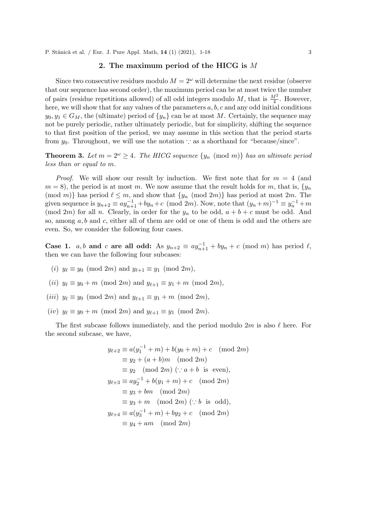#### 2. The maximum period of the HICG is M

Since two consecutive residues modulo  $M = 2^{\omega}$  will determine the next residue (observe that our sequence has second order), the maximum period can be at most twice the number of pairs (residue repetitions allowed) of all odd integers modulo M, that is  $\frac{M^2}{4}$ . However, here, we will show that for any values of the parameters  $a, b, c$  and any odd initial conditions  $y_0, y_1 \in G_M$ , the (ultimate) period of  $\{y_n\}$  can be at most M. Certainly, the sequence may not be purely periodic, rather ultimately periodic, but for simplicity, shifting the sequence to that first position of the period, we may assume in this section that the period starts from  $y_0$ . Throughout, we will use the notation : as a shorthand for "because/since".

**Theorem 3.** Let  $m = 2^{\omega} \geq 4$ . The HICG sequence  $\{y_n \pmod{m}\}$  has an ultimate period *less than or equal to* m*.*

*Proof.* We will show our result by induction. We first note that for  $m = 4$  (and  $m = 8$ , the period is at most m. We now assume that the result holds for m, that is,  $\{y_n\}$ (mod m)} has period  $\ell \leq m$ , and show that  $\{y_n \pmod{2m}\}$  has period at most  $2m$ . The given sequence is  $y_{n+2} \equiv ay_{n+1}^{-1} + by_n + c \pmod{2m}$ . Now, note that  $(y_n + m)^{-1} \equiv y_n^{-1} + m$ (mod 2m) for all n. Clearly, in order for the  $y_n$  to be odd,  $a + b + c$  must be odd. And so, among  $a, b$  and  $c$ , either all of them are odd or one of them is odd and the others are even. So, we consider the following four cases.

Case 1. *a, b* and *c* are all odd: As  $y_{n+2} \equiv ay_{n+1}^{-1} + by_n + c \pmod{m}$  has period  $\ell$ , then we can have the following four subcases:

- (i)  $y_{\ell} \equiv y_0 \pmod{2m}$  and  $y_{\ell+1} \equiv y_1 \pmod{2m}$ ,
- (ii)  $y_{\ell} \equiv y_0 + m \pmod{2m}$  and  $y_{\ell+1} \equiv y_1 + m \pmod{2m}$ ,
- (iii)  $y_{\ell} \equiv y_0 \pmod{2m}$  and  $y_{\ell+1} \equiv y_1 + m \pmod{2m}$ ,
- (iv)  $y_{\ell} \equiv y_0 + m \pmod{2m}$  and  $y_{\ell+1} \equiv y_1 \pmod{2m}$ .

The first subcase follows immediately, and the period modulo  $2m$  is also  $\ell$  here. For the second subcase, we have,

$$
y_{\ell+2} \equiv a(y_1^{-1} + m) + b(y_0 + m) + c \pmod{2m}
$$
  
\n
$$
\equiv y_2 + (a + b)m \pmod{2m}
$$
  
\n
$$
\equiv y_2 \pmod{2m} (\because a + b \text{ is even}),
$$
  
\n
$$
y_{\ell+3} \equiv ay_2^{-1} + b(y_1 + m) + c \pmod{2m}
$$
  
\n
$$
\equiv y_3 + bm \pmod{2m}
$$
  
\n
$$
\equiv y_3 + m \pmod{2m} (\because b \text{ is odd}),
$$
  
\n
$$
y_{\ell+4} \equiv a(y_3^{-1} + m) + by_2 + c \pmod{2m}
$$
  
\n
$$
\equiv y_4 + am \pmod{2m}
$$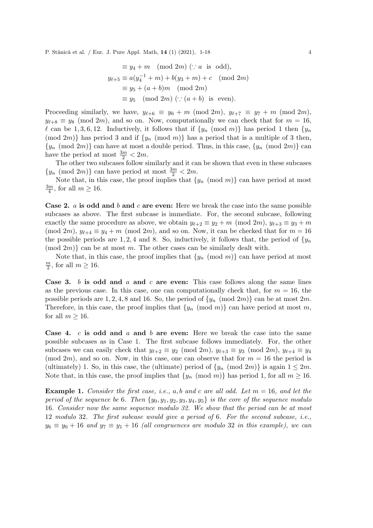$$
\equiv y_4 + m \pmod{2m} (\because a \text{ is odd}),
$$
  
\n
$$
y_{\ell+5} \equiv a(y_4^{-1} + m) + b(y_3 + m) + c \pmod{2m}
$$
  
\n
$$
\equiv y_5 + (a+b)m \pmod{2m}
$$
  
\n
$$
\equiv y_5 \pmod{2m} (\because (a+b) \text{ is even}).
$$

Proceeding similarly, we have,  $y_{\ell+6} \equiv y_6 + m \pmod{2m}$ ,  $y_{\ell+7} \equiv y_7 + m \pmod{2m}$ ,  $y_{\ell+8} \equiv y_8 \pmod{2m}$ , and so on. Now, computationally we can check that for  $m = 16$ , l can be 1, 3, 6, 12. Inductively, it follows that if  $\{y_n \pmod{m}\}$  has period 1 then  $\{y_n\}$ (mod 2m)} has period 3 and if  $\{y_n \pmod{m}\}$  has a period that is a multiple of 3 then,  ${y_n \pmod{2m}}$  can have at most a double period. Thus, in this case,  ${y_n \pmod{2m}}$  can have the period at most  $\frac{3m}{2} < 2m$ .

The other two subcases follow similarly and it can be shown that even in these subcases  $\{y_n \pmod{2m}\}$  can have period at most  $\frac{3m}{2} < 2m$ .

Note that, in this case, the proof implies that  $\{y_n \pmod{m}\}$  can have period at most 3m  $\frac{m}{4}$ , for all  $m \ge 16$ .

**Case 2.** a is odd and b and c are even: Here we break the case into the same possible subcases as above. The first subcase is immediate. For, the second subcase, following exactly the same procedure as above, we obtain  $y_{\ell+2} \equiv y_2 + m \pmod{2m}$ ,  $y_{\ell+3} \equiv y_3 + m$ (mod 2m),  $y_{\ell+4} \equiv y_4 + m \pmod{2m}$ , and so on. Now, it can be checked that for  $m = 16$ the possible periods are 1, 2, 4 and 8. So, inductively, it follows that, the period of  $\{y_n\}$  $p(\text{mod } 2m)$  can be at most m. The other cases can be similarly dealt with.

Note that, in this case, the proof implies that  $\{y_n \pmod{m}\}$  can have period at most  $\overline{m}$  $\frac{m}{2}$ , for all  $m \ge 16$ .

**Case 3.** b is odd and a and c are even: This case follows along the same lines as the previous case. In this case, one can computationally check that, for  $m = 16$ , the possible periods are 1, 2, 4, 8 and 16. So, the period of  $\{y_n \pmod{2m}\}$  can be at most  $2m$ . Therefore, in this case, the proof implies that  $\{y_n \pmod{m}\}$  can have period at most m, for all  $m \geq 16$ .

Case 4. c is odd and a and b are even: Here we break the case into the same possible subcases as in Case 1. The first subcase follows immediately. For, the other subcases we can easily check that  $y_{\ell+2} \equiv y_2 \pmod{2m}$ ,  $y_{\ell+3} \equiv y_3 \pmod{2m}$ ,  $y_{\ell+4} \equiv y_4$  $(mod 2m)$ , and so on. Now, in this case, one can observe that for  $m = 16$  the period is (ultimately) 1. So, in this case, the (ultimate) period of  $\{y_n \pmod{2m}\}$  is again  $1 \leq 2m$ . Note that, in this case, the proof implies that  $\{y_n \pmod{m}\}$  has period 1, for all  $m \ge 16$ .

Example 1. *Consider the first case, i.e.,* a, b *and* c *are all odd. Let* m = 16*, and let the period of the sequence be* 6*. Then*  $\{y_0, y_1, y_2, y_3, y_4, y_5\}$  *is the core of the sequence modulo* 16*. Consider now the same sequence modulo 32. We show that the period can be at most* 12 *modulo* 32*. The first subcase would give a period of* 6*. For the second subcase, i.e.,*  $y_6 \equiv y_0 + 16$  and  $y_7 \equiv y_1 + 16$  *(all congruences are modulo* 32 *in this example), we can*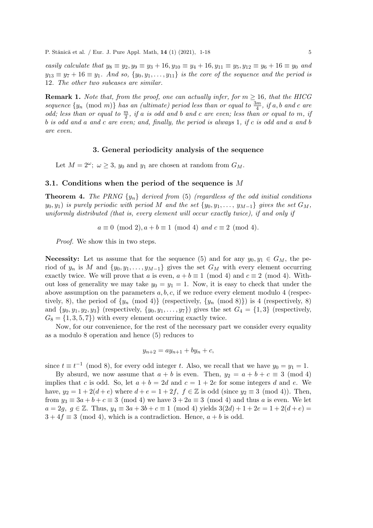*easily calculate that*  $y_8 \equiv y_2, y_9 \equiv y_3 + 16, y_{10} \equiv y_4 + 16, y_{11} \equiv y_5, y_{12} \equiv y_6 + 16 \equiv y_0$  *and*  $y_{13} \equiv y_7 + 16 \equiv y_1$ *. And so,*  $\{y_0, y_1, \ldots, y_{11}\}$  *is the core of the sequence and the period is* 12*. The other two subcases are similar.*

**Remark 1.** *Note that, from the proof, one can actually infer, for*  $m \geq 16$ *, that the HICG*  $sequence \{y_n \pmod{m}\}$  *has an (ultimate) period less than or equal to*  $\frac{3m}{4}$ *, if* a, *b* and c are *odd; less than or equal to*  $\frac{m}{2}$ *, if* a *is odd and* b and c are even; less than or equal to m, if b *is odd and* a *and* c *are even; and, finally, the period is always* 1*, if* c *is odd and* a *and* b *are even.*

#### 3. General periodicity analysis of the sequence

Let  $M = 2^{\omega}$ ;  $\omega \ge 3$ ,  $y_0$  and  $y_1$  are chosen at random from  $G_M$ .

#### 3.1. Conditions when the period of the sequence is M

Theorem 4. *The PRNG* {yn} *derived from* (5) *(regardless of the odd initial conditions*  $y_0, y_1$ ) *is purely periodic with period* M *and the set*  $\{y_0, y_1, \ldots, y_{M-1}\}$  *gives the set*  $G_M$ , *uniformly distributed (that is, every element will occur exactly twice), if and only if*

 $a \equiv 0 \pmod{2}$ ,  $a + b \equiv 1 \pmod{4}$  *and*  $c \equiv 2 \pmod{4}$ *.* 

*Proof.* We show this in two steps.

**Necessity:** Let us assume that for the sequence (5) and for any  $y_0, y_1 \in G_M$ , the period of  $y_n$  is M and  $\{y_0, y_1, \ldots, y_{M-1}\}$  gives the set  $G_M$  with every element occurring exactly twice. We will prove that a is even,  $a + b \equiv 1 \pmod{4}$  and  $c \equiv 2 \pmod{4}$ . Without loss of generality we may take  $y_0 = y_1 = 1$ . Now, it is easy to check that under the above assumption on the parameters  $a, b, c$ , if we reduce every element modulo 4 (respectively, 8), the period of  $\{y_n \pmod{4}\}$  (respectively,  $\{y_n \pmod{8}\}$ ) is 4 (respectively, 8) and  $\{y_0, y_1, y_2, y_3\}$  (respectively,  $\{y_0, y_1, \ldots, y_7\}$ ) gives the set  $G_4 = \{1,3\}$  (respectively,  $G_8 = \{1, 3, 5, 7\}$  with every element occurring exactly twice.

Now, for our convenience, for the rest of the necessary part we consider every equality as a modulo 8 operation and hence (5) reduces to

$$
y_{n+2} = ay_{n+1} + by_n + c,
$$

since  $t \equiv t^{-1} \pmod{8}$ , for every odd integer t. Also, we recall that we have  $y_0 = y_1 = 1$ .

By absurd, we now assume that  $a + b$  is even. Then,  $y_2 = a + b + c \equiv 3 \pmod{4}$ implies that c is odd. So, let  $a + b = 2d$  and  $c = 1 + 2e$  for some integers d and e. We have,  $y_2 = 1 + 2(d + e)$  where  $d + e = 1 + 2f$ ,  $f \in \mathbb{Z}$  is odd (since  $y_2 \equiv 3 \pmod{4}$ ). Then, from  $y_3 \equiv 3a + b + c \equiv 3 \pmod{4}$  we have  $3 + 2a \equiv 3 \pmod{4}$  and thus a is even. We let  $a = 2q, q \in \mathbb{Z}$ . Thus,  $y_4 \equiv 3a + 3b + c \equiv 1 \pmod{4}$  yields  $3(2d) + 1 + 2e = 1 + 2(d + e)$  $3 + 4f \equiv 3 \pmod{4}$ , which is a contradiction. Hence,  $a + b$  is odd.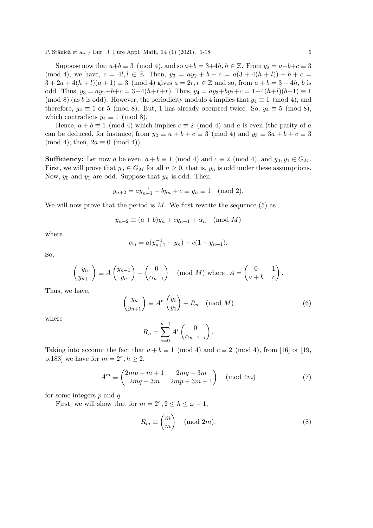Suppose now that  $a+b \equiv 3 \pmod{4}$ , and so  $a+b = 3+4h$ ,  $h \in \mathbb{Z}$ . From  $y_2 = a+b+c \equiv 3$ (mod 4), we have,  $c = 4l, l \in \mathbb{Z}$ . Then,  $y_3 = ay_2 + b + c = a(3 + 4(h + l)) + b + c =$  $3 + 2a + 4(h + l)(a + 1) \equiv 3 \pmod{4}$  gives  $a = 2r, r \in \mathbb{Z}$  and so, from  $a + b = 3 + 4h$ , b is odd. Thus,  $y_3 = ay_2+b+c = 3+4(h+\ell+r)$ . Thus,  $y_4 = ay_3+by_2+c = 1+4(h+\ell)(b+1) \equiv 1$ (mod 8) (as b is odd). However, the periodicity modulo 4 implies that  $y_4 \equiv 1 \pmod{4}$ , and therefore,  $y_4 \equiv 1$  or 5 (mod 8). But, 1 has already occurred twice. So,  $y_4 \equiv 5 \pmod{8}$ , which contradicts  $y_4 \equiv 1 \pmod{8}$ .

Hence,  $a + b \equiv 1 \pmod{4}$  which implies  $c \equiv 2 \pmod{4}$  and a is even (the parity of a can be deduced, for instance, from  $y_2 \equiv a + b + c \equiv 3 \pmod{4}$  and  $y_3 \equiv 3a + b + c \equiv 3$  $(mod 4);$  then,  $2a \equiv 0 \pmod{4}$ .

**Sufficiency:** Let now a be even,  $a + b \equiv 1 \pmod{4}$  and  $c \equiv 2 \pmod{4}$ , and  $y_0, y_1 \in G_M$ . First, we will prove that  $y_n \in G_M$  for all  $n \geq 0$ , that is,  $y_n$  is odd under these assumptions. Now,  $y_0$  and  $y_1$  are odd. Suppose that  $y_n$  is odd. Then,

$$
y_{n+2} = ay_{n+1}^{-1} + by_n + c \equiv y_n \equiv 1 \pmod{2}.
$$

We will now prove that the period is  $M$ . We first rewrite the sequence (5) as

$$
y_{n+2} \equiv (a+b)y_n + cy_{n+1} + \alpha_n \pmod{M}
$$

where

$$
\alpha_n = a(y_{n+1}^{-1} - y_n) + c(1 - y_{n+1}).
$$

So,

$$
\begin{pmatrix} y_n \\ y_{n+1} \end{pmatrix} \equiv A \begin{pmatrix} y_{n-1} \\ y_n \end{pmatrix} + \begin{pmatrix} 0 \\ \alpha_{n-1} \end{pmatrix} \pmod{M} \text{ where } A = \begin{pmatrix} 0 & 1 \\ a+b & c \end{pmatrix}.
$$

Thus, we have,

$$
\begin{pmatrix} y_n \\ y_{n+1} \end{pmatrix} \equiv A^n \begin{pmatrix} y_0 \\ y_1 \end{pmatrix} + R_n \pmod{M}
$$
 (6)

where

$$
R_n = \sum_{i=0}^{n-1} A^i \begin{pmatrix} 0 \\ \alpha_{n-1-i} \end{pmatrix}.
$$

Taking into account the fact that  $a + b \equiv 1 \pmod{4}$  and  $c \equiv 2 \pmod{4}$ , from [16] or [19, p.188] we have for  $m = 2<sup>h</sup>, h \ge 2$ ,

$$
Am \equiv \begin{pmatrix} 2mp+m+1 & 2mq+3m \\ 2mq+3m & 2mp+3m+1 \end{pmatrix} \pmod{4m}
$$
 (7)

for some integers  $p$  and  $q$ .

First, we will show that for  $m = 2<sup>h</sup>$ ,  $2 \le h \le \omega - 1$ ,

$$
R_m \equiv \binom{m}{m} \pmod{2m}.\tag{8}
$$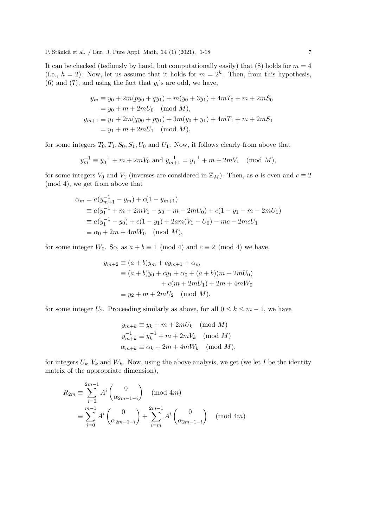It can be checked (tediously by hand, but computationally easily) that (8) holds for  $m = 4$ (i.e.,  $h = 2$ ). Now, let us assume that it holds for  $m = 2<sup>h</sup>$ . Then, from this hypothesis, (6) and (7), and using the fact that  $y_i$ 's are odd, we have,

$$
y_m \equiv y_0 + 2m(py_0 + qy_1) + m(y_0 + 3y_1) + 4mT_0 + m + 2mS_0
$$
  
=  $y_0 + m + 2mU_0 \pmod{M}$ ,  

$$
y_{m+1} \equiv y_1 + 2m(qy_0 + py_1) + 3m(y_0 + y_1) + 4mT_1 + m + 2mS_1
$$
  
=  $y_1 + m + 2mU_1 \pmod{M}$ ,

for some integers  $T_0, T_1, S_0, S_1, U_0$  and  $U_1$ . Now, it follows clearly from above that

$$
y_m^{-1} \equiv y_0^{-1} + m + 2mV_0
$$
 and  $y_{m+1}^{-1} = y_1^{-1} + m + 2mV_1 \pmod{M}$ ,

for some integers  $V_0$  and  $V_1$  (inverses are considered in  $\mathbb{Z}_M$ ). Then, as a is even and  $c \equiv 2$ (mod 4), we get from above that

$$
\alpha_m = a(y_{m+1}^{-1} - y_m) + c(1 - y_{m+1})
$$
  
\n
$$
\equiv a(y_1^{-1} + m + 2mV_1 - y_0 - m - 2mU_0) + c(1 - y_1 - m - 2mU_1)
$$
  
\n
$$
\equiv a(y_1^{-1} - y_0) + c(1 - y_1) + 2am(V_1 - U_0) - mc - 2mcU_1
$$
  
\n
$$
\equiv \alpha_0 + 2m + 4mW_0 \pmod{M},
$$

for some integer  $W_0$ . So, as  $a + b \equiv 1 \pmod{4}$  and  $c \equiv 2 \pmod{4}$  we have,

$$
y_{m+2} \equiv (a+b)y_m + cy_{m+1} + \alpha_m
$$
  
\n
$$
\equiv (a+b)y_0 + cy_1 + \alpha_0 + (a+b)(m+2mU_0)
$$
  
\n
$$
+ c(m+2mU_1) + 2m + 4mW_0
$$
  
\n
$$
\equiv y_2 + m + 2mU_2 \pmod{M},
$$

for some integer  $U_2$ . Proceeding similarly as above, for all  $0 \leq k \leq m-1$ , we have

$$
y_{m+k} \equiv y_k + m + 2mU_k \pmod{M}
$$
  
\n
$$
y_{m+k}^{-1} \equiv y_k^{-1} + m + 2mV_k \pmod{M}
$$
  
\n
$$
\alpha_{m+k} \equiv \alpha_k + 2m + 4mW_k \pmod{M},
$$

for integers  $U_k$ ,  $V_k$  and  $W_k$ . Now, using the above analysis, we get (we let I be the identity matrix of the appropriate dimension),

$$
R_{2m} \equiv \sum_{i=0}^{2m-1} A^i \binom{0}{\alpha_{2m-1-i}} \pmod{4m}
$$
  

$$
\equiv \sum_{i=0}^{m-1} A^i \binom{0}{\alpha_{2m-1-i}} + \sum_{i=m}^{2m-1} A^i \binom{0}{\alpha_{2m-1-i}} \pmod{4m}
$$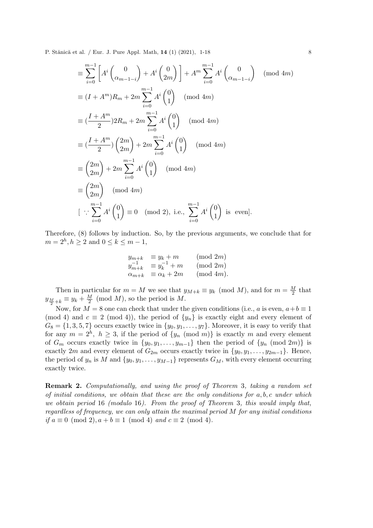$$
\begin{split}\n&\equiv \sum_{i=0}^{m-1} \left[ A^i \begin{pmatrix} 0 \\ \alpha_{m-1-i} \end{pmatrix} + A^i \begin{pmatrix} 0 \\ 2m \end{pmatrix} \right] + A^m \sum_{i=0}^{m-1} A^i \begin{pmatrix} 0 \\ \alpha_{m-1-i} \end{pmatrix} \pmod{4m} \\
&\equiv (I + A^m) R_m + 2m \sum_{i=0}^{m-1} A^i \begin{pmatrix} 0 \\ 1 \end{pmatrix} \pmod{4m} \\
&\equiv (\frac{I + A^m}{2}) 2R_m + 2m \sum_{i=0}^{m-1} A^i \begin{pmatrix} 0 \\ 1 \end{pmatrix} \pmod{4m} \\
&\equiv (\frac{I + A^m}{2}) \begin{pmatrix} 2m \\ 2m \end{pmatrix} + 2m \sum_{i=0}^{m-1} A^i \begin{pmatrix} 0 \\ 1 \end{pmatrix} \pmod{4m} \\
&\equiv \begin{pmatrix} 2m \\ 2m \end{pmatrix} + 2m \sum_{i=0}^{m-1} A^i \begin{pmatrix} 0 \\ 1 \end{pmatrix} \pmod{4m} \\
&\equiv (\frac{2m}{2m}) \pmod{4m} \\
&\left[ \because \sum_{i=0}^{m-1} A^i \begin{pmatrix} 0 \\ 1 \end{pmatrix} \equiv 0 \pmod{2}, \text{ i.e., } \sum_{i=0}^{m-1} A^i \begin{pmatrix} 0 \\ 1 \end{pmatrix} \text{ is even}].\n\end{split}
$$

Therefore, (8) follows by induction. So, by the previous arguments, we conclude that for  $m = 2<sup>h</sup>, h \ge 2$  and  $0 \le k \le m - 1$ ,

$$
y_{m+k} = y_k + m \t (mod 2m)
$$
  
\n
$$
y_{m+k}^{-1} \equiv y_k^{-1} + m \t (mod 2m)
$$
  
\n
$$
\alpha_{m+k} \equiv \alpha_k + 2m \t (mod 4m).
$$

Then in particular for  $m = M$  we see that  $y_{M+k} \equiv y_k \pmod{M}$ , and for  $m = \frac{M}{2}$  $\frac{M}{2}$  that  $y_{\frac{M}{2}+k} \equiv y_k + \frac{M}{2}$  $\frac{M}{2}$  (mod M), so the period is M.

Now, for  $M = 8$  one can check that under the given conditions (i.e., a is even,  $a+b \equiv 1$ (mod 4) and  $c \equiv 2 \pmod{4}$ , the period of  $\{y_n\}$  is exactly eight and every element of  $G_8 = \{1, 3, 5, 7\}$  occurs exactly twice in  $\{y_0, y_1, \ldots, y_7\}$ . Moreover, it is easy to verify that for any  $m = 2<sup>h</sup>$ ,  $h \geq 3$ , if the period of  $\{y_n \pmod{m}\}$  is exactly m and every element of  $G_m$  occurs exactly twice in  $\{y_0, y_1, \ldots, y_{m-1}\}\$  then the period of  $\{y_n \pmod{2m}\}\$ is exactly 2m and every element of  $G_{2m}$  occurs exactly twice in  $\{y_0, y_1, \ldots, y_{2m-1}\}$ . Hence, the period of  $y_n$  is M and  $\{y_0, y_1, \ldots, y_{M-1}\}$  represents  $G_M$ , with every element occurring exactly twice.

Remark 2. *Computationally, and using the proof of Theorem* 3*, taking a random set of initial conditions, we obtain that these are the only conditions for* a, b, c *under which we obtain period* 16 *(modulo* 16*). From the proof of Theorem* 3*, this would imply that, regardless of frequency, we can only attain the maximal period* M *for any initial conditions if*  $a \equiv 0 \pmod{2}$ ,  $a + b \equiv 1 \pmod{4}$  *and*  $c \equiv 2 \pmod{4}$ *.*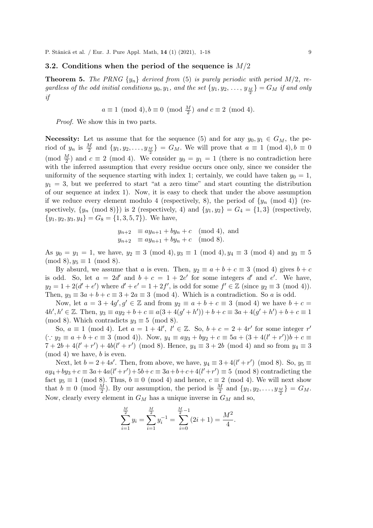#### 3.2. Conditions when the period of the sequence is  $M/2$

**Theorem 5.** The PRNG  $\{y_n\}$  derived from (5) is purely periodic with period M/2, regardless of the odd initial conditions  $y_0, y_1$ , and the set  $\{y_1, y_2, \ldots, y_{\frac{M}{2}}\} = G_M$  if and only *if*

$$
a \equiv 1 \pmod{4}, b \equiv 0 \pmod{\frac{M}{2}} \text{ and } c \equiv 2 \pmod{4}.
$$

*Proof.* We show this in two parts.

**Necessity:** Let us assume that for the sequence (5) and for any  $y_0, y_1 \in G_M$ , the period of  $y_n$  is  $\frac{M}{2}$  and  $\{y_1, y_2, \ldots, y_{\frac{M}{2}}\} = G_M$ . We will prove that  $a \equiv 1 \pmod{4}$ ,  $b \equiv 0$ (mod  $\frac{M}{2}$ ) and  $c \equiv 2 \pmod{4}$ . We consider  $y_0 = y_1 = 1$  (there is no contradiction here with the inferred assumption that every residue occurs once only, since we consider the uniformity of the sequence starting with index 1; certainly, we could have taken  $y_0 = 1$ ,  $y_1 = 3$ , but we preferred to start "at a zero time" and start counting the distribution of our sequence at index 1). Now, it is easy to check that under the above assumption if we reduce every element modulo 4 (respectively, 8), the period of  $\{y_n \pmod{4}\}$  (respectively,  $\{y_n \pmod{8}\}\$  is 2 (respectively, 4) and  $\{y_1, y_2\} = G_4 = \{1, 3\}$  (respectively,  ${y_1, y_2, y_3, y_4} = G_8 = {1, 3, 5, 7}.$  We have,

$$
y_{n+2} \equiv ay_{n+1} + by_n + c \pmod{4}, \text{ and}
$$
  

$$
y_{n+2} \equiv ay_{n+1} + by_n + c \pmod{8}.
$$

As  $y_0 = y_1 = 1$ , we have,  $y_2 \equiv 3 \pmod{4}$ ,  $y_3 \equiv 1 \pmod{4}$ ,  $y_4 \equiv 3 \pmod{4}$  and  $y_3 \equiv 5$  $(mod 8), y_5 \equiv 1 \pmod{8}.$ 

By absurd, we assume that a is even. Then,  $y_2 \equiv a + b + c \equiv 3 \pmod{4}$  gives  $b + c$ is odd. So, let  $a = 2d'$  and  $b + c = 1 + 2e'$  for some integers d' and e'. We have,  $y_2 = 1 + 2(d' + e')$  where  $d' + e' = 1 + 2f'$ , is odd for some  $f' \in \mathbb{Z}$  (since  $y_2 \equiv 3 \pmod{4}$ ). Then,  $y_3 \equiv 3a + b + c \equiv 3 + 2a \equiv 3 \pmod{4}$ . Which is a contradiction. So a is odd.

Now, let  $a = 3 + 4g'$ ,  $g' \in \mathbb{Z}$  and from  $y_2 \equiv a + b + c \equiv 3 \pmod{4}$  we have  $b + c =$  $4h', h' \in \mathbb{Z}$ . Then,  $y_3 \equiv ay_2 + b + c \equiv a(3 + 4(g' + h')) + b + c \equiv 3a + 4(g' + h') + b + c \equiv 1$ (mod 8). Which contradicts  $y_3 \equiv 5 \pmod{8}$ .

So,  $a \equiv 1 \pmod{4}$ . Let  $a = 1 + 4l'$ ,  $l' \in \mathbb{Z}$ . So,  $b + c = 2 + 4r'$  for some integer r'  $($ ∴  $y_2 \equiv a + b + c \equiv 3 \pmod{4}$ . Now,  $y_4 \equiv ay_3 + by_2 + c \equiv 5a + (3 + 4(l' + r'))b + c \equiv 5a$  $7 + 2b + 4(l' + r') + 4b(l' + r')$  (mod 8). Hence,  $y_4 \equiv 3 + 2b$  (mod 4) and so from  $y_4 \equiv 3$ (mod 4) we have, b is even.

Next, let  $b = 2 + 4s'$ . Then, from above, we have,  $y_4 \equiv 3 + 4(l' + r') \pmod{8}$ . So,  $y_5 \equiv$  $ay_4 + by_3 + c \equiv 3a + 4a(l' + r') + 5b + c \equiv 3a + b + c + 4(l' + r') \equiv 5 \pmod{8}$  contradicting the fact  $y_5 \equiv 1 \pmod{8}$ . Thus,  $b \equiv 0 \pmod{4}$  and hence,  $c \equiv 2 \pmod{4}$ . We will next show that  $b \equiv 0 \pmod{\frac{M}{2}}$ . By our assumption, the period is  $\frac{M}{2}$  and  $\{y_1, y_2, \ldots, y_{\frac{M}{2}}\} = G_M$ . Now, clearly every element in  $G_M$  has a unique inverse in  $G_M$  and so,

$$
\sum_{i=1}^{\frac{M}{2}} y_i = \sum_{i=1}^{\frac{M}{2}} y_i^{-1} = \sum_{i=0}^{\frac{M}{2}-1} (2i+1) = \frac{M^2}{4}.
$$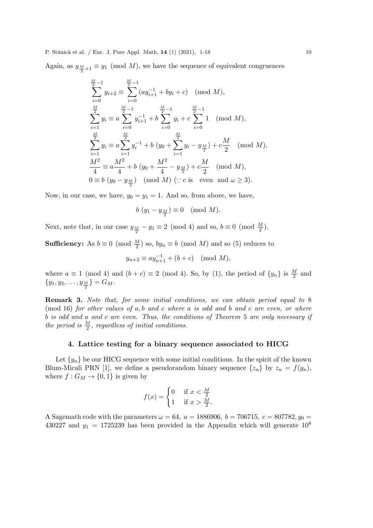Again, as  $y_{\frac{M}{2}+1} \equiv y_1 \pmod{M}$ , we have the sequence of equivalent congruences

$$
\sum_{i=0}^{\frac{M}{2}-1} y_{i+2} \equiv \sum_{i=0}^{\frac{M}{2}-1} (ay_{i+1}^{-1} + by_i + c) \pmod{M},
$$
  
\n
$$
\sum_{i=1}^{\frac{M}{2}} y_i \equiv a \sum_{i=0}^{\frac{M}{2}-1} y_{i+1}^{-1} + b \sum_{i=0}^{\frac{M}{2}-1} y_i + c \sum_{i=0}^{\frac{M}{2}-1} 1 \pmod{M},
$$
  
\n
$$
\sum_{i=1}^{\frac{M}{2}} y_i \equiv a \sum_{i=1}^{\frac{M}{2}} y_i^{-1} + b (y_0 + \sum_{i=1}^{\frac{M}{2}} y_i - y_{\frac{M}{2}}) + c \frac{M}{2} \pmod{M},
$$
  
\n
$$
\frac{M^2}{4} \equiv a \frac{M^2}{4} + b (y_0 + \frac{M^2}{4} - y_{\frac{M}{2}}) + c \frac{M}{2} \pmod{M},
$$
  
\n
$$
0 \equiv b (y_0 - y_{\frac{M}{2}}) \pmod{M} \pmod{M} \pmod{2 \text{ 3}}.
$$

Now, in our case, we have,  $y_0 = y_1 = 1$ . And so, from above, we have,

$$
b\left(y_1 - y_{\frac{M}{2}}\right) \equiv 0 \pmod{M}.
$$

Next, note that, in our case  $y_{\frac{M}{2}} - y_1 \equiv 2 \pmod{4}$  and so,  $b \equiv 0 \pmod{\frac{M}{2}}$ .

**Sufficiency:** As  $b \equiv 0 \pmod{\frac{M}{2}}$  so,  $by_n \equiv b \pmod{M}$  and so (5) reduces to

$$
y_{n+2} \equiv ay_{n+1}^{-1} + (b+c) \pmod{M},
$$

where  $a \equiv 1 \pmod{4}$  and  $(b+c) \equiv 2 \pmod{4}$ . So, by (1), the period of  $\{y_n\}$  is  $\frac{M}{2}$  and  ${y_1, y_2, \ldots, y_{\frac{M}{2}}} = G_M.$ 

Remark 3. *Note that, for some initial conditions, we can obtain period equal to* 8 (mod 16) *for other values of* a, b *and* c *where* a *is odd and* b *and* c *are even, or where* b *is odd and* a *and* c *are even. Thus, the conditions of Theorem* 5 *are only necessary if the period is*  $\frac{M}{2}$ *, regardless of initial conditions.* 

#### 4. Lattice testing for a binary sequence associated to HICG

Let  $\{y_n\}$  be our HICG sequence with some initial conditions. In the spirit of the known Blum-Micali PRN [1], we define a pseudorandom binary sequence  $\{z_n\}$  by  $z_n = f(y_n)$ , where  $f: G_M \to \{0,1\}$  is given by

$$
f(x) = \begin{cases} 0 & \text{if } x < \frac{M}{2} \\ 1 & \text{if } x > \frac{M}{2}. \end{cases}
$$

A Sagemath code with the parameters  $\omega = 64$ ,  $a = 1886906$ ,  $b = 706715$ ,  $c = 807782$ ,  $y_0 =$ 430227 and  $y_1 = 1725239$  has been provided in the Appendix which will generate  $10^8$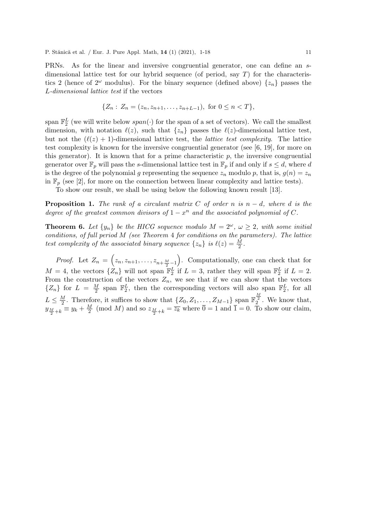PRNs. As for the linear and inversive congruential generator, one can define an sdimensional lattice test for our hybrid sequence (of period, say  $T$ ) for the characteristics 2 (hence of  $2^{\omega}$  modulus). For the binary sequence (defined above)  $\{z_n\}$  passes the L*-dimensional lattice test* if the vectors

$$
\{Z_n: Z_n = (z_n, z_{n+1}, \dots, z_{n+L-1}), \text{ for } 0 \le n < T\},\
$$

span  $\mathbb{F}_2^L$  (we will write below  $span(\cdot)$  for the span of a set of vectors). We call the smallest dimension, with notation  $\ell(z)$ , such that  $\{z_n\}$  passes the  $\ell(z)$ -dimensional lattice test, but not the  $(\ell(z) + 1)$ -dimensional lattice test, the *lattice test complexity*. The lattice test complexity is known for the inversive congruential generator (see [6, 19], for more on this generator). It is known that for a prime characteristic  $p$ , the inversive congruential generator over  $\mathbb{F}_p$  will pass the s-dimensional lattice test in  $\mathbb{F}_p$  if and only if  $s \leq d$ , where d is the degree of the polynomial g representing the sequence  $z_n$  modulo p, that is,  $g(n) = z_n$ in  $\mathbb{F}_p$  (see [2], for more on the connection between linear complexity and lattice tests).

To show our result, we shall be using below the following known result [13].

**Proposition 1.** The rank of a circulant matrix C of order n is  $n - d$ , where d is the *degree of the greatest common divisors of*  $1 - x^n$  *and the associated polynomial of* C.

**Theorem 6.** Let  $\{y_n\}$  be the HICG sequence modulo  $M = 2^{\omega}$ ,  $\omega \geq 2$ , with some initial *conditions, of full period* M *(see Theorem* 4 *for conditions on the parameters). The lattice test complexity of the associated binary sequence*  $\{z_n\}$  *is*  $\ell(z) = \frac{M}{2}$ .

*Proof.* Let  $Z_n = \left(z_n, z_{n+1}, \ldots, z_{n+\frac{M}{2}-1}\right)$ . Computationally, one can check that for  $M = 4$ , the vectors  $\{\hat{Z}_n\}$  will not span  $\mathbb{F}_2^L$  if  $L = 3$ , rather they will span  $\mathbb{F}_2^L$  if  $L = 2$ . From the construction of the vectors  $Z_n$ , we see that if we can show that the vectors  $\{Z_n\}$  for  $L = \frac{M}{2}$  $\frac{M}{2}$  span  $\mathbb{F}_2^L$ , then the corresponding vectors will also span  $\mathbb{F}_2^L$ , for all  $L \leq \frac{M}{2}$  $\frac{M}{2}$ . Therefore, it suffices to show that  $\{Z_0, Z_1, \ldots, Z_{M-1}\}$  span  $\mathbb{F}_2^{\frac{M}{2}}$ . We know that,  $y_{\frac{M}{2}+k} = y_k + \frac{M}{2}$  $\frac{M}{2}$  (mod M) and so  $z_{\frac{M}{2}+k} = \overline{z_k}$  where  $0 = 1$  and  $1 = 0$ . To show our claim,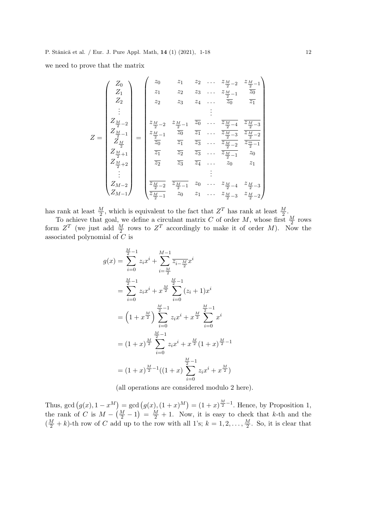we need to prove that the matrix

$$
Z = \begin{pmatrix} Z_0 \\ Z_1 \\ Z_2 \\ Z_3 \\ \vdots \\ Z_{\frac{M}{2}-2} \\ Z_{\frac{M}{2}-1} \\ Z_{\frac{M}{2}} \\ Z_{\frac{M}{2}+1} \\ Z_{\frac{M}{2}+2} \\ \vdots \\ Z_{\frac{M}{2}+2} \\ Z_{\frac{M}{2}-2} \\ \vdots \\ Z_{\frac{M}{2}-1} \\ Z_{\frac{M}{2}} \\ \vdots \\ Z_{\frac{M}{2}-2} \\ \frac{Z_1}{Z_2} \\ \frac{Z_2}{Z_3} \\ \frac{Z_3}{Z_4} \\ \vdots \\ \frac{Z_4}{Z_4} \\ \vdots \\ \frac{Z_5}{Z_5} \\ \frac{Z_5}{Z_4} \\ \vdots \\ \frac{Z_5}{Z_6} \\ \frac{Z_6}{Z_1} \\ \frac{Z_7}{Z_2} \\ \frac{Z_8}{Z_3} \\ \vdots \\ \frac{Z_7}{Z_4} \\ \frac{Z_9}{Z_1} \\ \frac{Z_5}{Z_2} \\ \frac{Z_7}{Z_3} \\ \frac{Z_8}{Z_4} \\ \vdots \\ \frac{Z_8}{Z_9} \\ \frac{Z_9}{Z_1} \\ \frac{Z_9}{Z_1} \\ \frac{Z_9}{Z_1} \\ \frac{Z_1}{Z_2} \\ \frac{Z_3}{Z_3} \\ \frac{Z_4}{Z_4} \\ \dots \\ \frac{Z_M}{Z-4} \\ \frac{Z_M}{Z-3} \\ \frac{Z_M}{Z-3} \\ \frac{Z_M}{Z-2} \\ \frac{Z_M}{Z-2} \\ \frac{Z_M}{Z-1} \\ \frac{Z_9}{Z_0} \\ \frac{Z_1}{Z_1} \\ \dots \\ \frac{Z_M}{Z-4} \\ \frac{Z_M}{Z-3} \\ \frac{Z_M}{Z-2} \\ \frac{Z_M}{Z-2} \\ \frac{Z_M}{Z-1} \\ \frac{Z_M}{Z_0} \\ \frac{Z_M}{Z-1} \\ \frac{Z_M}{Z_0} \\ \frac{Z_M}{Z-1} \\ \frac{Z_M}{Z_0} \\ \frac{Z_M}{Z-1} \\ \frac{Z_M}{Z_0} \\ \frac{Z_M}{Z-1} \\ \frac{Z_M}{Z_0} \\ \frac{Z_M}{Z-1} \\ \frac{Z_M}{Z_0} \\ \frac{Z_M}{Z-1} \\ \frac{Z_M}{Z_0} \\ \frac{Z_M}{Z-1} \\ \frac{Z_M}{Z_0} \\
$$

has rank at least  $\frac{M}{2}$ , which is equivalent to the fact that  $Z<sup>T</sup>$  has rank at least  $\frac{M}{2}$ .

To achieve that goal, we define a circulant matrix C of order M, whose first  $\frac{M}{2}$  rows form  $Z^T$  (we just add  $\frac{M}{2}$  rows to  $Z^T$  accordingly to make it of order M). Now the associated polynomial of  $\overline{C}$  is

$$
g(x) = \sum_{i=0}^{\frac{M}{2}-1} z_i x^i + \sum_{i=\frac{M}{2}}^{M-1} \overline{z_{i-\frac{M}{2}}} x^i
$$
  

$$
= \sum_{i=0}^{\frac{M}{2}-1} z_i x^i + x^{\frac{M}{2}} \sum_{i=0}^{\frac{M}{2}-1} (z_i + 1) x^i
$$
  

$$
= \left(1 + x^{\frac{M}{2}}\right) \sum_{i=0}^{\frac{M}{2}-1} z_i x^i + x^{\frac{M}{2}} \sum_{i=0}^{\frac{M}{2}-1} x^i
$$
  

$$
= (1+x)^{\frac{M}{2}} \sum_{i=0}^{\frac{M}{2}-1} z_i x^i + x^{\frac{M}{2}} (1+x)^{\frac{M}{2}-1}
$$
  

$$
= (1+x)^{\frac{M}{2}-1} ((1+x) \sum_{i=0}^{\frac{M}{2}-1} z_i x^i + x^{\frac{M}{2}})
$$

(all operations are considered modulo 2 here).

Thus, gcd  $(g(x), 1 - x^M) = \text{gcd}(g(x), (1 + x)^M) = (1 + x)^{\frac{M}{2} - 1}$ . Hence, by Proposition 1, the rank of C is  $M - (\frac{M}{2} - 1) = \frac{M}{2} + 1$ . Now, it is easy to check that k-th and the  $(\frac{M}{2} + k)$ -th row of C add up to the row with all 1's;  $k = 1, 2, ..., \frac{M}{2}$  $\frac{M}{2}$ . So, it is clear that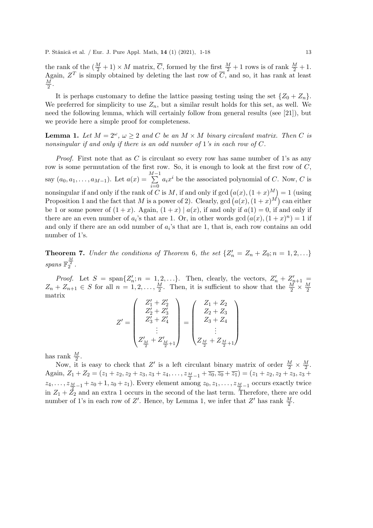the rank of the  $(\frac{M}{2}+1) \times M$  matrix,  $\overline{C}$ , formed by the first  $\frac{M}{2}+1$  rows is of rank  $\frac{M}{2}+1$ . Again,  $Z^T$  is simply obtained by deleting the last row of  $\overline{C}$ , and so, it has rank at least  $\overline{M}$  $\frac{M}{2}$ .

It is perhaps customary to define the lattice passing testing using the set  $\{Z_0 + Z_n\}$ . We preferred for simplicity to use  $Z_n$ , but a similar result holds for this set, as well. We need the following lemma, which will certainly follow from general results (see [21]), but we provide here a simple proof for completeness.

**Lemma 1.** Let  $M = 2^{\omega}$ ,  $\omega \geq 2$  and C be an  $M \times M$  binary circulant matrix. Then C is *nonsingular if and only if there is an odd number of* 1*'s in each row of* C*.*

*Proof.* First note that as C is circulant so every row has same number of 1's as any row is some permutation of the first row. So, it is enough to look at the first row of  $C$ , say  $(a_0, a_1, \ldots, a_{M-1})$ . Let  $a(x) =$  $\sum_{ }^{M-1}$  $i=0$  $a_i x^i$  be the associated polynomial of C. Now, C is nonsingular if and only if the rank of C is M, if and only if gcd  $(a(x), (1+x)^M) = 1$  (using Proposition 1 and the fact that M is a power of 2). Clearly, gcd  $(a(x), (1+x)^M)$  can either be 1 or some power of  $(1+x)$ . Again,  $(1+x) | a(x)$ , if and only if  $a(1) = 0$ , if and only if there are an even number of  $a_i$ 's that are 1. Or, in other words  $gcd(a(x), (1+x)^n) = 1$  if and only if there are an odd number of  $a_i$ 's that are 1, that is, each row contains an odd number of 1's.

**Theorem 7.** *Under the conditions of Theorem 6, the set*  $\{Z'_n = Z_n + Z_0; n = 1, 2, ...\}$  $spans \mathbb{F}_2^{\frac{M}{2}}$ .

*Proof.* Let  $S = \text{span}\{Z'_i\}$  $n'_n; n = 1, 2, \ldots$ . Then, clearly, the vectors,  $Z'_n + Z'_{n+1} =$  $Z_n + Z_{n+1} \in S$  for all  $n = 1, 2, ..., \frac{M}{2}$  $\frac{M}{2}$ . Then, it is sufficient to show that the  $\frac{M}{2} \times \frac{M}{2}$ 2 matrix

$$
Z' = \begin{pmatrix} Z'_1 + Z'_2 \\ Z'_2 + Z'_3 \\ Z'_3 + Z'_4 \\ \vdots \\ Z'_M + Z'_{M+1} \end{pmatrix} = \begin{pmatrix} Z_1 + Z_2 \\ Z_2 + Z_3 \\ Z_3 + Z_4 \\ \vdots \\ Z_M + Z_{M+1} \end{pmatrix}
$$

has rank  $\frac{M}{2}$ .

Now, it is easy to check that Z' is a left circulant binary matrix of order  $\frac{M}{2} \times \frac{M}{2}$  $\frac{M}{2}$ . Again,  $Z_1 + Z_2 = (z_1 + z_2, z_2 + z_3, z_3 + z_4, \ldots, z_{\frac{M}{2}-1} + \overline{z_0}, \overline{z_0} + \overline{z_1}) = (z_1 + z_2, z_2 + z_3, z_3 + z_4, \ldots, z_{\frac{M}{2}-1} + \overline{z_0}, \overline{z_0} + \overline{z_1}) = (z_1 + z_2, z_2 + z_3, z_3 + z_4, \ldots, z_{\frac{M}{2}-1} + \overline{z_0}, \overline{z_0} + \overline{z_1})$  $z_4, \ldots, z_{\frac{M}{2}-1} + z_0 + 1, z_0 + z_1$ . Every element among  $z_0, z_1, \ldots, z_{\frac{M}{2}-1}$  occurs exactly twice in  $Z_1 + \bar{Z_2}$  and an extra 1 occurs in the second of the last term. Therefore, there are odd number of 1's in each row of Z'. Hence, by Lemma 1, we infer that Z' has rank  $\frac{M}{2}$ .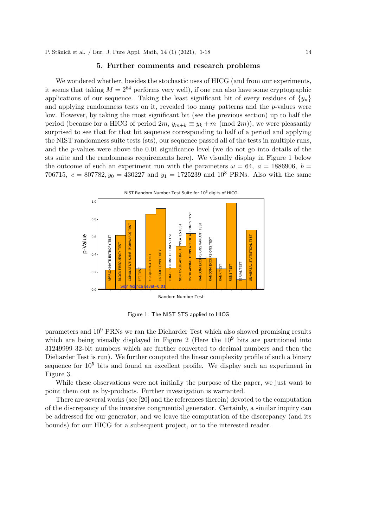#### 5. Further comments and research problems

We wondered whether, besides the stochastic uses of HICG (and from our experiments, it seems that taking  $M = 2^{64}$  performs very well), if one can also have some cryptographic applications of our sequence. Taking the least significant bit of every residues of  $\{y_n\}$ and applying randomness tests on it, revealed too many patterns and the  $p$ -values were low. However, by taking the most significant bit (see the previous section) up to half the period (because for a HICG of period  $2m$ ,  $y_{m+k} \equiv y_k + m \pmod{2m}$ ), we were pleasantly surprised to see that for that bit sequence corresponding to half of a period and applying the NIST randomness suite tests (sts), our sequence passed all of the tests in multiple runs, and the p-values were above the 0.01 significance level (we do not go into details of the sts suite and the randomness requirements here). We visually display in Figure 1 below the outcome of such an experiment run with the parameters  $\omega = 64$ ,  $a = 1886906$ ,  $b =$ 706715,  $c = 807782$ ,  $y_0 = 430227$  and  $y_1 = 1725239$  and  $10^8$  PRNs. Also with the same



Figure 1: The NIST STS applied to HICG

parameters and 10<sup>9</sup> PRNs we ran the Dieharder Test which also showed promising results which are being visually displayed in Figure 2 (Here the  $10<sup>9</sup>$  bits are partitioned into 31249999 32-bit numbers which are further converted to decimal numbers and then the Dieharder Test is run). We further computed the linear complexity profile of such a binary sequence for  $10^5$  bits and found an excellent profile. We display such an experiment in Figure 3.

While these observations were not initially the purpose of the paper, we just want to point them out as by-products. Further investigation is warranted.

There are several works (see [20] and the references therein) devoted to the computation of the discrepancy of the inversive congruential generator. Certainly, a similar inquiry can be addressed for our generator, and we leave the computation of the discrepancy (and its bounds) for our HICG for a subsequent project, or to the interested reader.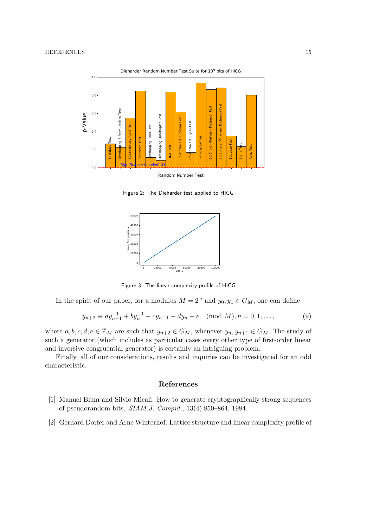

Figure 2: The Dieharder test applied to HICG



Figure 3: The linear complexity profile of HICG

In the spirit of our paper, for a modulus  $M = 2^{\omega}$  and  $y_0, y_1 \in G_M$ , one can define

$$
y_{n+2} \equiv ay_{n+1}^{-1} + by_n^{-1} + cy_{n+1} + dy_n + e \pmod{M}, n = 0, 1, ...,
$$
 (9)

where  $a, b, c, d, e \in \mathbb{Z}_M$  are such that  $y_{n+2} \in G_M$ , whenever  $y_n, y_{n+1} \in G_M$ . The study of such a generator (which includes as particular cases every other type of first-order linear and inversive congruential generator) is certainly an intriguing problem.

Finally, all of our considerations, results and inquiries can be investigated for an odd characteristic.

#### References

- [1] Manuel Blum and Silvio Micali. How to generate cryptographically strong sequences of pseudorandom bits. *SIAM J. Comput.*, 13(4):850–864, 1984.
- [2] Gerhard Dorfer and Arne Winterhof. Lattice structure and linear complexity profile of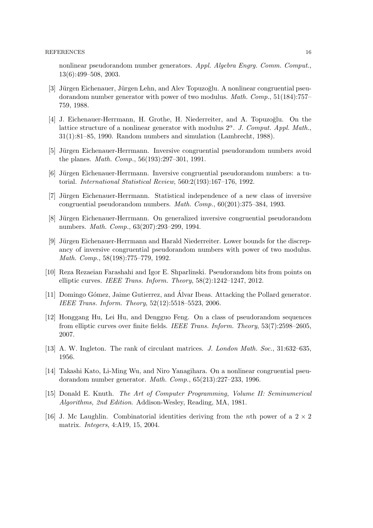nonlinear pseudorandom number generators. *Appl. Algebra Engrg. Comm. Comput.*, 13(6):499–508, 2003.

- [3] Jürgen Eichenauer, Jürgen Lehn, and Alev Topuzoğlu. A nonlinear congruential pseudorandom number generator with power of two modulus. *Math. Comp.*, 51(184):757– 759, 1988.
- [4] J. Eichenauer-Herrmann, H. Grothe, H. Niederreiter, and A. Topuzoğlu. On the lattice structure of a nonlinear generator with modulus  $2^{\alpha}$ . *J. Comput. Appl. Math.*, 31(1):81–85, 1990. Random numbers and simulation (Lambrecht, 1988).
- [5] Jürgen Eichenauer-Herrmann. Inversive congruential pseudorandom numbers avoid the planes. *Math. Comp.*, 56(193):297–301, 1991.
- [6] Jürgen Eichenauer-Herrmann. Inversive congruential pseudorandom numbers: a tutorial. *International Statistical Review*, 560:2(193):167–176, 1992.
- [7] Jürgen Eichenauer-Herrmann. Statistical independence of a new class of inversive congruential pseudorandom numbers. *Math. Comp.*, 60(201):375–384, 1993.
- [8] Jürgen Eichenauer-Herrmann. On generalized inversive congruential pseudorandom numbers. *Math. Comp.*, 63(207):293–299, 1994.
- [9] Jürgen Eichenauer-Herrmann and Harald Niederreiter. Lower bounds for the discrepancy of inversive congruential pseudorandom numbers with power of two modulus. *Math. Comp.*, 58(198):775–779, 1992.
- [10] Reza Rezaeian Farashahi and Igor E. Shparlinski. Pseudorandom bits from points on elliptic curves. *IEEE Trans. Inform. Theory*, 58(2):1242–1247, 2012.
- [11] Domingo Gómez, Jaime Gutierrez, and Álvar Ibeas. Attacking the Pollard generator. *IEEE Trans. Inform. Theory*, 52(12):5518–5523, 2006.
- [12] Honggang Hu, Lei Hu, and Dengguo Feng. On a class of pseudorandom sequences from elliptic curves over finite fields. *IEEE Trans. Inform. Theory*, 53(7):2598–2605, 2007.
- [13] A. W. Ingleton. The rank of circulant matrices. *J. London Math. Soc.*, 31:632–635, 1956.
- [14] Takashi Kato, Li-Ming Wu, and Niro Yanagihara. On a nonlinear congruential pseudorandom number generator. *Math. Comp.*, 65(213):227–233, 1996.
- [15] Donald E. Knuth. *The Art of Computer Programming, Volume II: Seminumerical Algorithms, 2nd Edition*. Addison-Wesley, Reading, MA, 1981.
- [16] J. Mc Laughlin. Combinatorial identities deriving from the *n*th power of a  $2 \times 2$ matrix. *Integers*, 4:A19, 15, 2004.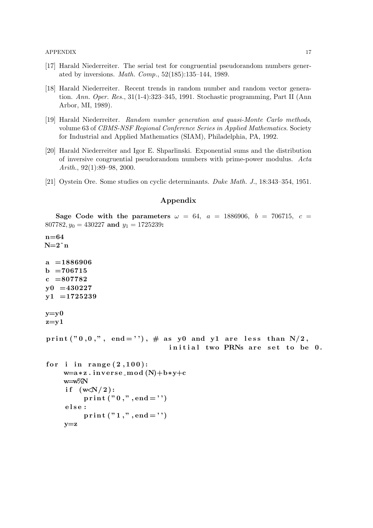- [17] Harald Niederreiter. The serial test for congruential pseudorandom numbers generated by inversions. *Math. Comp.*, 52(185):135–144, 1989.
- [18] Harald Niederreiter. Recent trends in random number and random vector generation. *Ann. Oper. Res.*, 31(1-4):323–345, 1991. Stochastic programming, Part II (Ann Arbor, MI, 1989).
- [19] Harald Niederreiter. *Random number generation and quasi-Monte Carlo methods*, volume 63 of *CBMS-NSF Regional Conference Series in Applied Mathematics*. Society for Industrial and Applied Mathematics (SIAM), Philadelphia, PA, 1992.
- [20] Harald Niederreiter and Igor E. Shparlinski. Exponential sums and the distribution of inversive congruential pseudorandom numbers with prime-power modulus. *Acta Arith.*, 92(1):89–98, 2000.
- [21] Oystein Ore. Some studies on cyclic determinants. *Duke Math. J.*, 18:343–354, 1951.

#### Appendix

```
Sage Code with the parameters \omega = 64, a = 1886906, b = 706715, c =807782, y_0 = 430227 and y_1 = 1725239:
n=64
N=2ˆn
a = 1886906b = 706715c = 807782y0 = 430227y1 = 1725239y=y0z=y1print ("0,0,", end=""), \# as y0 and y1 are less than N/2,
                               initial two PRNs are set to be 0.
for i in range (2,100):
    w=a∗z.inverse_mod(N)+b∗y+c
    w=w%N
     if (w\ll N/2):
         print ("0,", end =")e l s e :
         print ("1,", end="")
    v = z
```